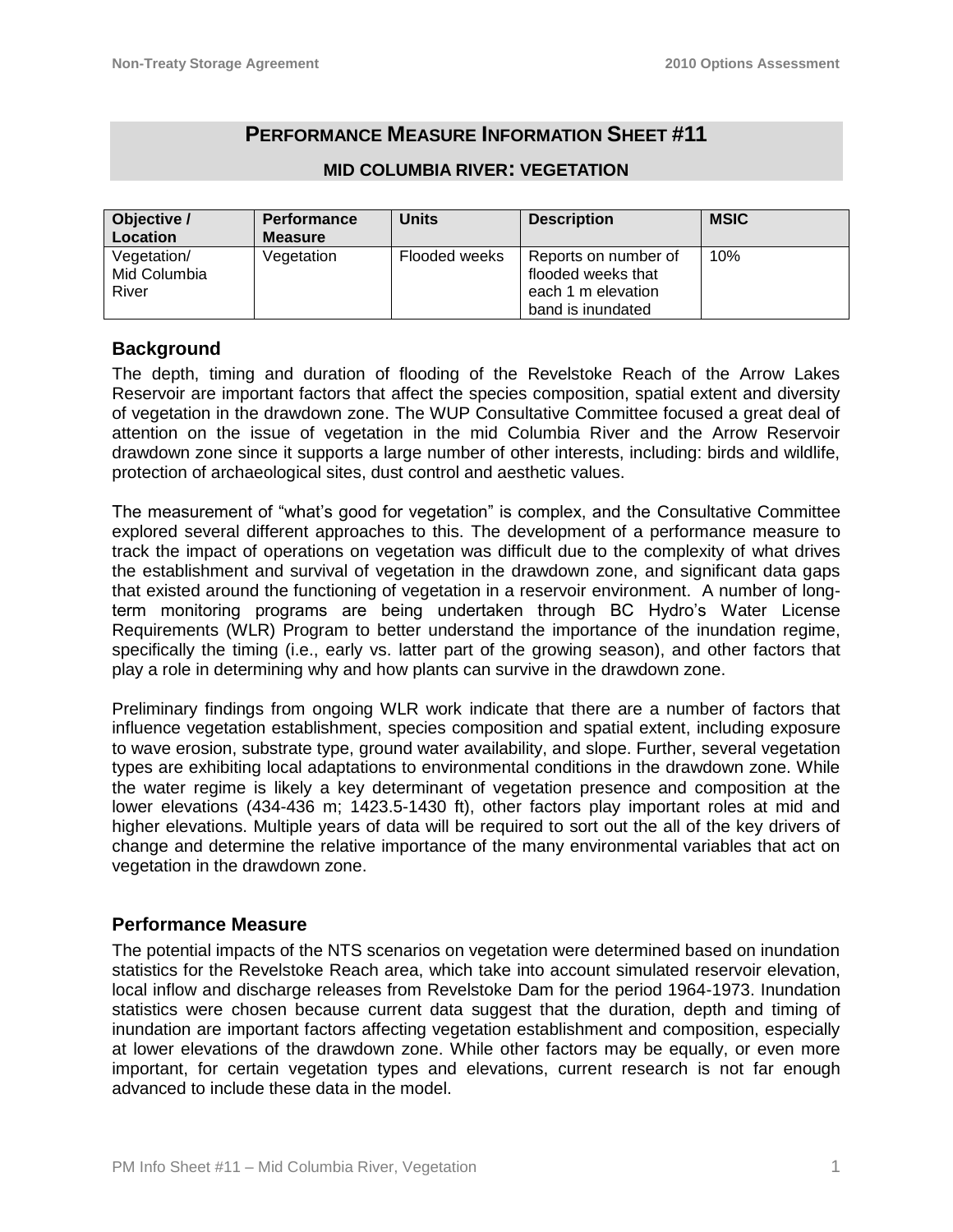# **PERFORMANCE MEASURE INFORMATION SHEET #11**

| Objective /  | <b>Performance</b> | <b>Units</b>  | <b>Description</b>   | <b>MSIC</b> |
|--------------|--------------------|---------------|----------------------|-------------|
| Location     | <b>Measure</b>     |               |                      |             |
| Vegetation/  | Vegetation         | Flooded weeks | Reports on number of | 10%         |
| Mid Columbia |                    |               | flooded weeks that   |             |
| River        |                    |               | each 1 m elevation   |             |
|              |                    |               | band is inundated    |             |

#### **MID COLUMBIA RIVER: VEGETATION**

### **Background**

The depth, timing and duration of flooding of the Revelstoke Reach of the Arrow Lakes Reservoir are important factors that affect the species composition, spatial extent and diversity of vegetation in the drawdown zone. The WUP Consultative Committee focused a great deal of attention on the issue of vegetation in the mid Columbia River and the Arrow Reservoir drawdown zone since it supports a large number of other interests, including: birds and wildlife, protection of archaeological sites, dust control and aesthetic values.

The measurement of "what's good for vegetation" is complex, and the Consultative Committee explored several different approaches to this. The development of a performance measure to track the impact of operations on vegetation was difficult due to the complexity of what drives the establishment and survival of vegetation in the drawdown zone, and significant data gaps that existed around the functioning of vegetation in a reservoir environment. A number of longterm monitoring programs are being undertaken through BC Hydro's Water License Requirements (WLR) Program to better understand the importance of the inundation regime, specifically the timing (i.e., early vs. latter part of the growing season), and other factors that play a role in determining why and how plants can survive in the drawdown zone.

Preliminary findings from ongoing WLR work indicate that there are a number of factors that influence vegetation establishment, species composition and spatial extent, including exposure to wave erosion, substrate type, ground water availability, and slope. Further, several vegetation types are exhibiting local adaptations to environmental conditions in the drawdown zone. While the water regime is likely a key determinant of vegetation presence and composition at the lower elevations (434-436 m; 1423.5-1430 ft), other factors play important roles at mid and higher elevations. Multiple years of data will be required to sort out the all of the key drivers of change and determine the relative importance of the many environmental variables that act on vegetation in the drawdown zone.

#### **Performance Measure**

The potential impacts of the NTS scenarios on vegetation were determined based on inundation statistics for the Revelstoke Reach area, which take into account simulated reservoir elevation, local inflow and discharge releases from Revelstoke Dam for the period 1964-1973. Inundation statistics were chosen because current data suggest that the duration, depth and timing of inundation are important factors affecting vegetation establishment and composition, especially at lower elevations of the drawdown zone. While other factors may be equally, or even more important, for certain vegetation types and elevations, current research is not far enough advanced to include these data in the model.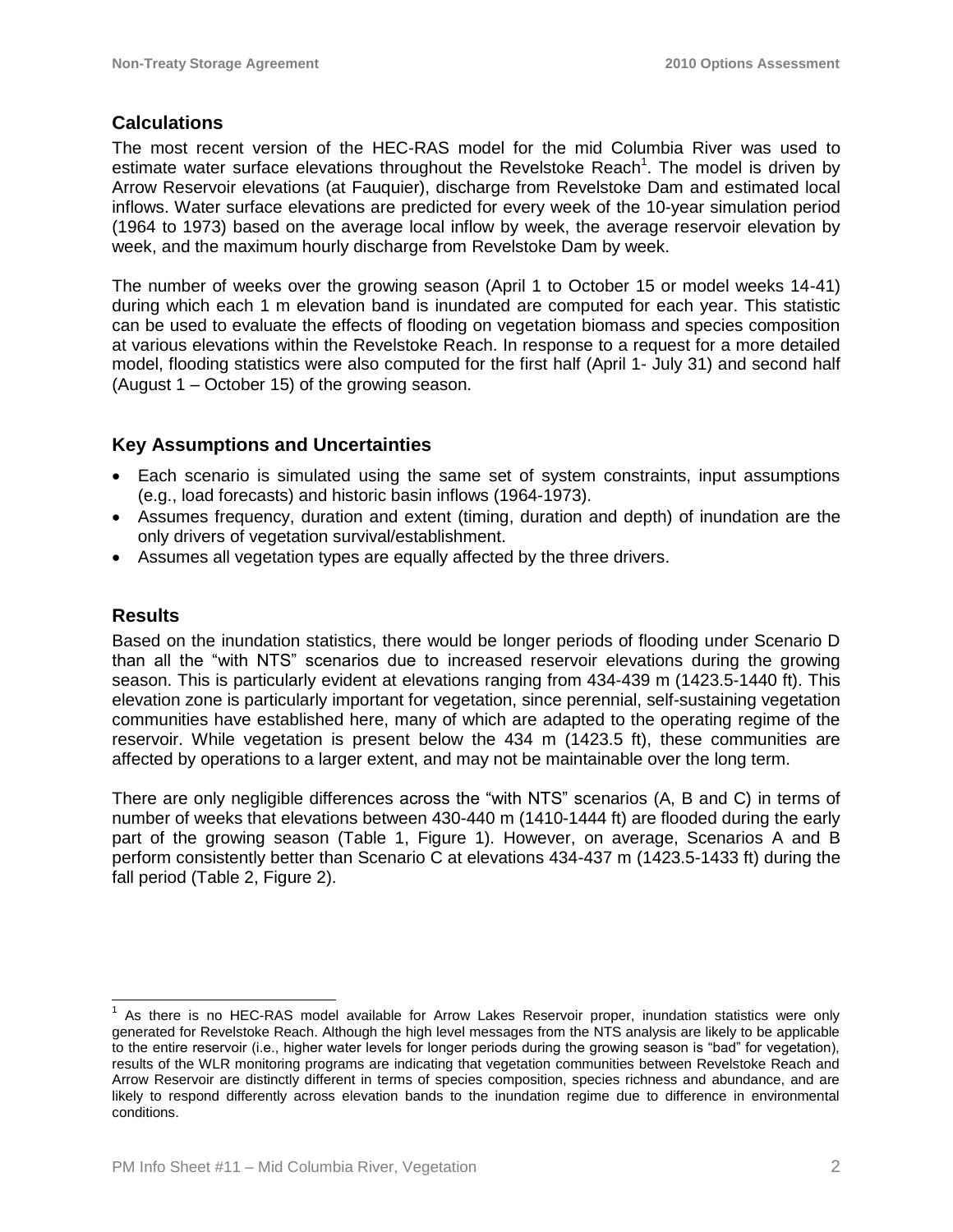### **Calculations**

The most recent version of the HEC-RAS model for the mid Columbia River was used to estimate water surface elevations throughout the Revelstoke Reach<sup>1</sup>. The model is driven by Arrow Reservoir elevations (at Fauquier), discharge from Revelstoke Dam and estimated local inflows. Water surface elevations are predicted for every week of the 10-year simulation period (1964 to 1973) based on the average local inflow by week, the average reservoir elevation by week, and the maximum hourly discharge from Revelstoke Dam by week.

The number of weeks over the growing season (April 1 to October 15 or model weeks 14-41) during which each 1 m elevation band is inundated are computed for each year. This statistic can be used to evaluate the effects of flooding on vegetation biomass and species composition at various elevations within the Revelstoke Reach. In response to a request for a more detailed model, flooding statistics were also computed for the first half (April 1- July 31) and second half (August 1 – October 15) of the growing season.

## **Key Assumptions and Uncertainties**

- Each scenario is simulated using the same set of system constraints, input assumptions (e.g., load forecasts) and historic basin inflows (1964-1973).
- Assumes frequency, duration and extent (timing, duration and depth) of inundation are the only drivers of vegetation survival/establishment.
- Assumes all vegetation types are equally affected by the three drivers.

### **Results**

 $\overline{a}$ 

Based on the inundation statistics, there would be longer periods of flooding under Scenario D than all the "with NTS" scenarios due to increased reservoir elevations during the growing season. This is particularly evident at elevations ranging from 434-439 m (1423.5-1440 ft). This elevation zone is particularly important for vegetation, since perennial, self-sustaining vegetation communities have established here, many of which are adapted to the operating regime of the reservoir. While vegetation is present below the 434 m (1423.5 ft), these communities are affected by operations to a larger extent, and may not be maintainable over the long term.

There are only negligible differences across the "with NTS" scenarios (A, B and C) in terms of number of weeks that elevations between 430-440 m (1410-1444 ft) are flooded during the early part of the growing season (Table 1, Figure 1). However, on average, Scenarios A and B perform consistently better than Scenario C at elevations 434-437 m (1423.5-1433 ft) during the fall period (Table 2, Figure 2).

<sup>&</sup>lt;sup>1</sup> As there is no HEC-RAS model available for Arrow Lakes Reservoir proper, inundation statistics were only generated for Revelstoke Reach. Although the high level messages from the NTS analysis are likely to be applicable to the entire reservoir (i.e., higher water levels for longer periods during the growing season is "bad" for vegetation), results of the WLR monitoring programs are indicating that vegetation communities between Revelstoke Reach and Arrow Reservoir are distinctly different in terms of species composition, species richness and abundance, and are likely to respond differently across elevation bands to the inundation regime due to difference in environmental conditions.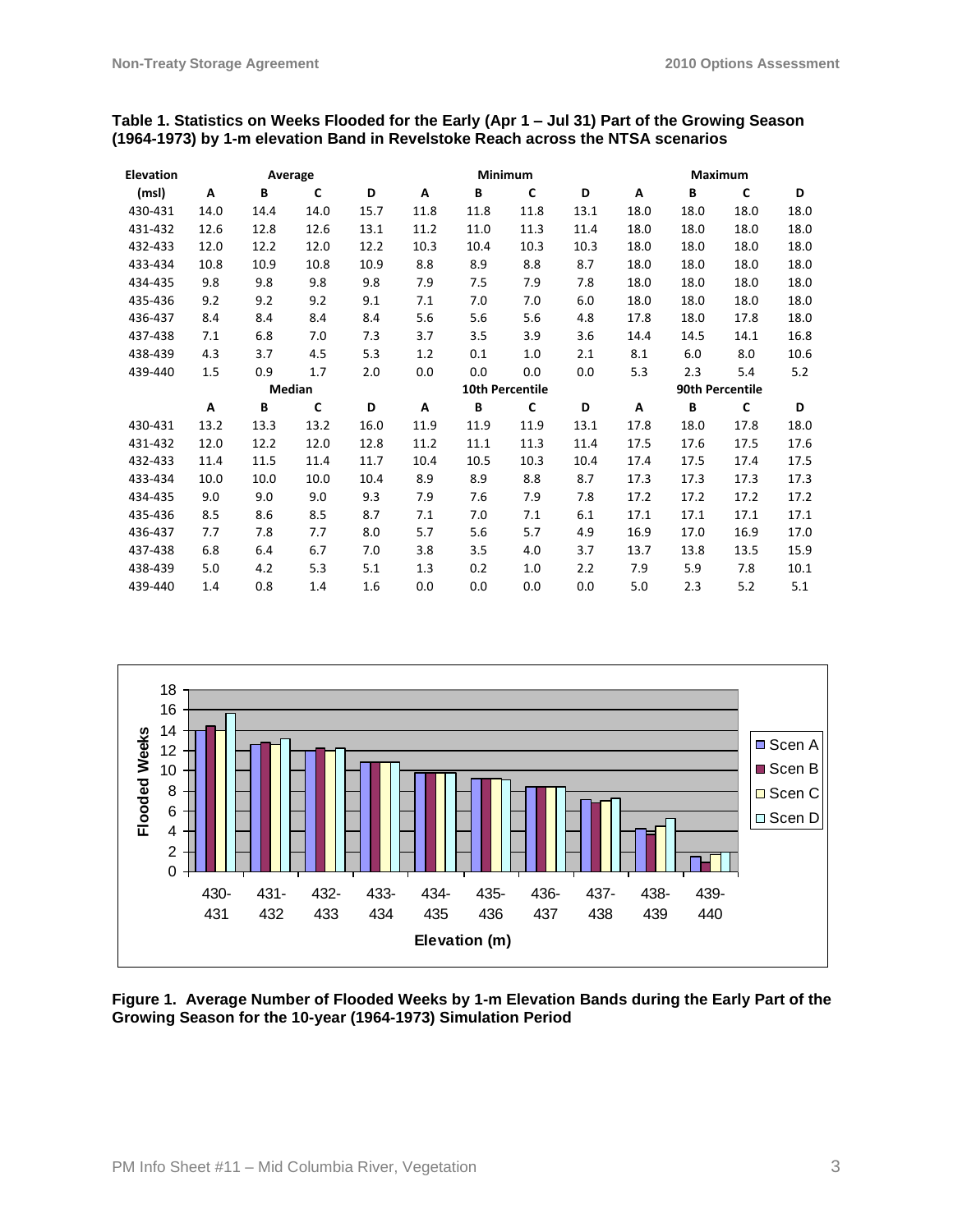#### **Table 1. Statistics on Weeks Flooded for the Early (Apr 1 – Jul 31) Part of the Growing Season (1964-1973) by 1-m elevation Band in Revelstoke Reach across the NTSA scenarios**

| <b>Elevation</b> |        |      | Average     |      | Minimum                |      |      |      | Maximum         |      |      |      |  |
|------------------|--------|------|-------------|------|------------------------|------|------|------|-----------------|------|------|------|--|
| (msl)            | A      | B    | $\mathbf c$ | D    | A                      | B    | C    | D    | A               | В    | C    | D    |  |
| 430-431          | 14.0   | 14.4 | 14.0        | 15.7 | 11.8                   | 11.8 | 11.8 | 13.1 | 18.0            | 18.0 | 18.0 | 18.0 |  |
| 431-432          | 12.6   | 12.8 | 12.6        | 13.1 | 11.2                   | 11.0 | 11.3 | 11.4 | 18.0            | 18.0 | 18.0 | 18.0 |  |
| 432-433          | 12.0   | 12.2 | 12.0        | 12.2 | 10.3                   | 10.4 | 10.3 | 10.3 | 18.0            | 18.0 | 18.0 | 18.0 |  |
| 433-434          | 10.8   | 10.9 | 10.8        | 10.9 | 8.8                    | 8.9  | 8.8  | 8.7  | 18.0            | 18.0 | 18.0 | 18.0 |  |
| 434-435          | 9.8    | 9.8  | 9.8         | 9.8  | 7.9                    | 7.5  | 7.9  | 7.8  | 18.0            | 18.0 | 18.0 | 18.0 |  |
| 435-436          | 9.2    | 9.2  | 9.2         | 9.1  | 7.1                    | 7.0  | 7.0  | 6.0  | 18.0            | 18.0 | 18.0 | 18.0 |  |
| 436-437          | 8.4    | 8.4  | 8.4         | 8.4  | 5.6                    | 5.6  | 5.6  | 4.8  | 17.8            | 18.0 | 17.8 | 18.0 |  |
| 437-438          | 7.1    | 6.8  | 7.0         | 7.3  | 3.7                    | 3.5  | 3.9  | 3.6  | 14.4            | 14.5 | 14.1 | 16.8 |  |
| 438-439          | 4.3    | 3.7  | 4.5         | 5.3  | 1.2                    | 0.1  | 1.0  | 2.1  | 8.1             | 6.0  | 8.0  | 10.6 |  |
| 439-440          | 1.5    | 0.9  | 1.7         | 2.0  | 0.0                    | 0.0  | 0.0  | 0.0  | 5.3             | 2.3  | 5.4  | 5.2  |  |
|                  | Median |      |             |      | <b>10th Percentile</b> |      |      |      | 90th Percentile |      |      |      |  |
|                  | Α      | B    | C           | D    | Α                      | B    | C    | D    | Α               | B    | C    | D    |  |
| 430-431          | 13.2   | 13.3 | 13.2        | 16.0 | 11.9                   | 11.9 | 11.9 | 13.1 | 17.8            | 18.0 | 17.8 | 18.0 |  |
| 431-432          | 12.0   | 12.2 | 12.0        | 12.8 | 11.2                   | 11.1 | 11.3 | 11.4 | 17.5            | 17.6 | 17.5 | 17.6 |  |
| 432-433          | 11.4   | 11.5 | 11.4        | 11.7 | 10.4                   | 10.5 | 10.3 | 10.4 | 17.4            | 17.5 | 17.4 | 17.5 |  |
| 433-434          | 10.0   | 10.0 | 10.0        | 10.4 | 8.9                    | 8.9  | 8.8  | 8.7  | 17.3            | 17.3 | 17.3 | 17.3 |  |
| 434-435          | 9.0    | 9.0  | 9.0         | 9.3  | 7.9                    | 7.6  | 7.9  | 7.8  | 17.2            | 17.2 | 17.2 | 17.2 |  |
| 435-436          | 8.5    | 8.6  | 8.5         | 8.7  | 7.1                    | 7.0  | 7.1  | 6.1  | 17.1            | 17.1 | 17.1 | 17.1 |  |
| 436-437          | 7.7    | 7.8  | 7.7         | 8.0  | 5.7                    | 5.6  | 5.7  | 4.9  | 16.9            | 17.0 | 16.9 | 17.0 |  |
| 437-438          | 6.8    | 6.4  | 6.7         | 7.0  | 3.8                    | 3.5  | 4.0  | 3.7  | 13.7            | 13.8 | 13.5 | 15.9 |  |
| 438-439          | 5.0    | 4.2  | 5.3         | 5.1  | 1.3                    | 0.2  | 1.0  | 2.2  | 7.9             | 5.9  | 7.8  | 10.1 |  |
| 439-440          | 1.4    | 0.8  | 1.4         | 1.6  | 0.0                    | 0.0  | 0.0  | 0.0  | 5.0             | 2.3  | 5.2  | 5.1  |  |



**Figure 1. Average Number of Flooded Weeks by 1-m Elevation Bands during the Early Part of the Growing Season for the 10-year (1964-1973) Simulation Period**